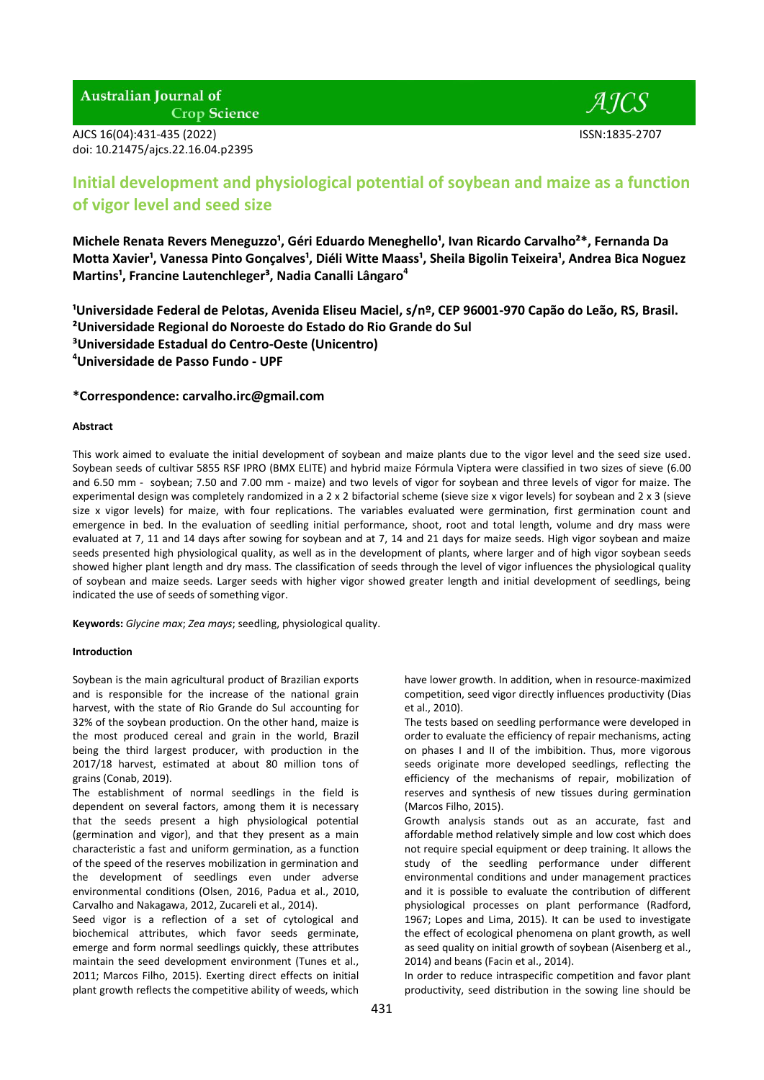**Australian Journal of Crop Science** 

AJCS 16(04):431-435 (2022) ISSN:1835-2707 doi: 10.21475/ajcs.22.16.04.p2395

 $AICS$ 

# **Initial development and physiological potential of soybean and maize as a function of vigor level and seed size**

Michele Renata Revers Meneguzzo<sup>1</sup>, Géri Eduardo Meneghello<sup>1</sup>, Ivan Ricardo Carvalho<sup>2\*</sup>, Fernanda Da **Motta Xavier<sup>1</sup>, Vanessa Pinto Gonçalves<sup>1</sup>, Diéli Witte Maass<sup>1</sup>, Sheila Bigolin Teixeira<sup>1</sup>, Andrea Bica Noguez Martins¹, Francine Lautenchleger³, Nadia Canalli Lângaro<sup>4</sup>**

**¹Universidade Federal de Pelotas, Avenida Eliseu Maciel, s/nº, CEP 96001-970 Capão do Leão, RS, Brasil. ²Universidade Regional do Noroeste do Estado do Rio Grande do Sul ³Universidade Estadual do Centro-Oeste (Unicentro) <sup>4</sup>Universidade de Passo Fundo - UPF**

# **\*Correspondence: carvalho.irc@gmail.com**

# **Abstract**

This work aimed to evaluate the initial development of soybean and maize plants due to the vigor level and the seed size used. Soybean seeds of cultivar 5855 RSF IPRO (BMX ELITE) and hybrid maize Fórmula Viptera were classified in two sizes of sieve (6.00 and 6.50 mm - soybean; 7.50 and 7.00 mm - maize) and two levels of vigor for soybean and three levels of vigor for maize. The experimental design was completely randomized in a 2 x 2 bifactorial scheme (sieve size x vigor levels) for soybean and 2 x 3 (sieve size x vigor levels) for maize, with four replications. The variables evaluated were germination, first germination count and emergence in bed. In the evaluation of seedling initial performance, shoot, root and total length, volume and dry mass were evaluated at 7, 11 and 14 days after sowing for soybean and at 7, 14 and 21 days for maize seeds. High vigor soybean and maize seeds presented high physiological quality, as well as in the development of plants, where larger and of high vigor soybean seeds showed higher plant length and dry mass. The classification of seeds through the level of vigor influences the physiological quality of soybean and maize seeds. Larger seeds with higher vigor showed greater length and initial development of seedlings, being indicated the use of seeds of something vigor.

**Keywords:** *Glycine max*; *Zea mays*; seedling, physiological quality.

# **Introduction**

Soybean is the main agricultural product of Brazilian exports and is responsible for the increase of the national grain harvest, with the state of Rio Grande do Sul accounting for 32% of the soybean production. On the other hand, maize is the most produced cereal and grain in the world, Brazil being the third largest producer, with production in the 2017/18 harvest, estimated at about 80 million tons of grains (Conab, 2019).

The establishment of normal seedlings in the field is dependent on several factors, among them it is necessary that the seeds present a high physiological potential (germination and vigor), and that they present as a main characteristic a fast and uniform germination, as a function of the speed of the reserves mobilization in germination and the development of seedlings even under adverse environmental conditions (Olsen, 2016, Padua et al., 2010, Carvalho and Nakagawa, 2012, Zucareli et al., 2014).

Seed vigor is a reflection of a set of cytological and biochemical attributes, which favor seeds germinate, emerge and form normal seedlings quickly, these attributes maintain the seed development environment (Tunes et al., 2011; Marcos Filho, 2015). Exerting direct effects on initial plant growth reflects the competitive ability of weeds, which

have lower growth. In addition, when in resource-maximized competition, seed vigor directly influences productivity (Dias et al., 2010).

The tests based on seedling performance were developed in order to evaluate the efficiency of repair mechanisms, acting on phases I and II of the imbibition. Thus, more vigorous seeds originate more developed seedlings, reflecting the efficiency of the mechanisms of repair, mobilization of reserves and synthesis of new tissues during germination (Marcos Filho, 2015).

Growth analysis stands out as an accurate, fast and affordable method relatively simple and low cost which does not require special equipment or deep training. It allows the study of the seedling performance under different environmental conditions and under management practices and it is possible to evaluate the contribution of different physiological processes on plant performance (Radford, 1967; Lopes and Lima, 2015). It can be used to investigate the effect of ecological phenomena on plant growth, as well as seed quality on initial growth of soybean (Aisenberg et al., 2014) and beans (Facin et al., 2014).

In order to reduce intraspecific competition and favor plant productivity, seed distribution in the sowing line should be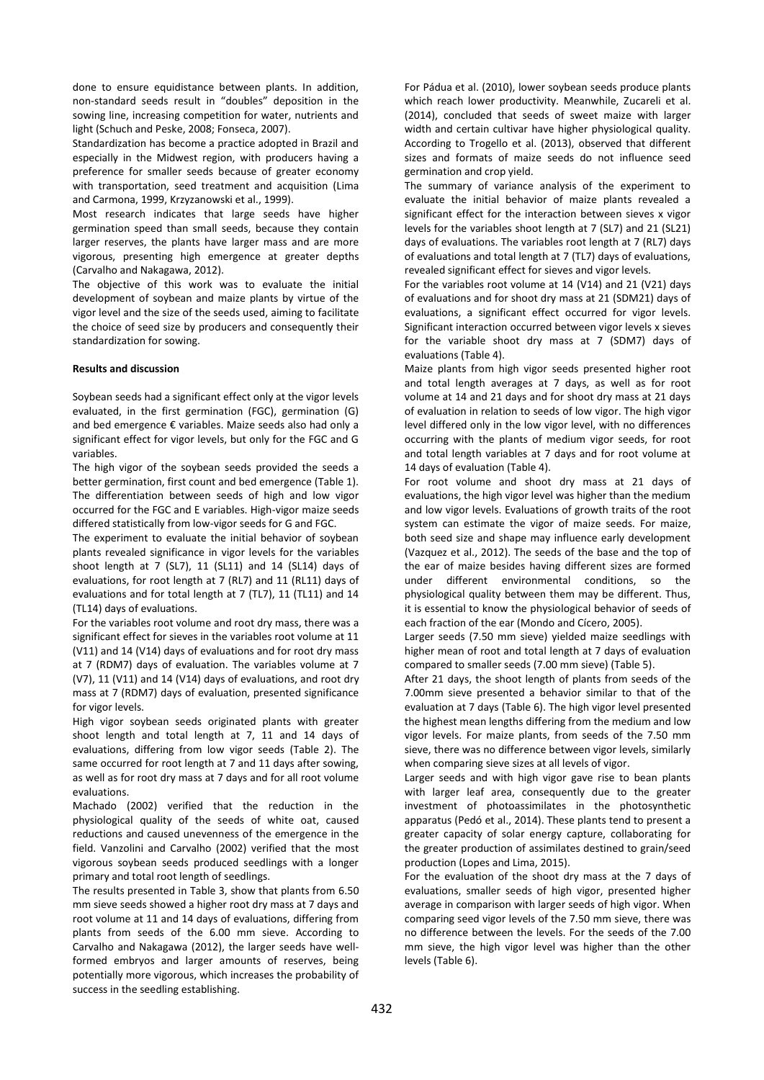done to ensure equidistance between plants. In addition, non-standard seeds result in "doubles" deposition in the sowing line, increasing competition for water, nutrients and light (Schuch and Peske, 2008; Fonseca, 2007).

Standardization has become a practice adopted in Brazil and especially in the Midwest region, with producers having a preference for smaller seeds because of greater economy with transportation, seed treatment and acquisition (Lima and Carmona, 1999, Krzyzanowski et al., 1999).

Most research indicates that large seeds have higher germination speed than small seeds, because they contain larger reserves, the plants have larger mass and are more vigorous, presenting high emergence at greater depths (Carvalho and Nakagawa, 2012).

The objective of this work was to evaluate the initial development of soybean and maize plants by virtue of the vigor level and the size of the seeds used, aiming to facilitate the choice of seed size by producers and consequently their standardization for sowing.

## **Results and discussion**

Soybean seeds had a significant effect only at the vigor levels evaluated, in the first germination (FGC), germination (G) and bed emergence € variables. Maize seeds also had only a significant effect for vigor levels, but only for the FGC and G variables.

The high vigor of the soybean seeds provided the seeds a better germination, first count and bed emergence (Table 1). The differentiation between seeds of high and low vigor occurred for the FGC and E variables. High-vigor maize seeds differed statistically from low-vigor seeds for G and FGC.

The experiment to evaluate the initial behavior of soybean plants revealed significance in vigor levels for the variables shoot length at 7 (SL7), 11 (SL11) and 14 (SL14) days of evaluations, for root length at 7 (RL7) and 11 (RL11) days of evaluations and for total length at 7 (TL7), 11 (TL11) and 14 (TL14) days of evaluations.

For the variables root volume and root dry mass, there was a significant effect for sieves in the variables root volume at 11 (V11) and 14 (V14) days of evaluations and for root dry mass at 7 (RDM7) days of evaluation. The variables volume at 7 (V7), 11 (V11) and 14 (V14) days of evaluations, and root dry mass at 7 (RDM7) days of evaluation, presented significance for vigor levels.

High vigor soybean seeds originated plants with greater shoot length and total length at 7, 11 and 14 days of evaluations, differing from low vigor seeds (Table 2). The same occurred for root length at 7 and 11 days after sowing, as well as for root dry mass at 7 days and for all root volume evaluations.

Machado (2002) verified that the reduction in the physiological quality of the seeds of white oat, caused reductions and caused unevenness of the emergence in the field. Vanzolini and Carvalho (2002) verified that the most vigorous soybean seeds produced seedlings with a longer primary and total root length of seedlings.

The results presented in Table 3, show that plants from 6.50 mm sieve seeds showed a higher root dry mass at 7 days and root volume at 11 and 14 days of evaluations, differing from plants from seeds of the 6.00 mm sieve. According to Carvalho and Nakagawa (2012), the larger seeds have wellformed embryos and larger amounts of reserves, being potentially more vigorous, which increases the probability of success in the seedling establishing.

For Pádua et al. (2010), lower soybean seeds produce plants which reach lower productivity. Meanwhile, Zucareli et al. (2014), concluded that seeds of sweet maize with larger width and certain cultivar have higher physiological quality. According to Trogello et al. (2013), observed that different sizes and formats of maize seeds do not influence seed germination and crop yield.

The summary of variance analysis of the experiment to evaluate the initial behavior of maize plants revealed a significant effect for the interaction between sieves x vigor levels for the variables shoot length at 7 (SL7) and 21 (SL21) days of evaluations. The variables root length at 7 (RL7) days of evaluations and total length at 7 (TL7) days of evaluations, revealed significant effect for sieves and vigor levels.

For the variables root volume at 14 (V14) and 21 (V21) days of evaluations and for shoot dry mass at 21 (SDM21) days of evaluations, a significant effect occurred for vigor levels. Significant interaction occurred between vigor levels x sieves for the variable shoot dry mass at 7 (SDM7) days of evaluations (Table 4).

Maize plants from high vigor seeds presented higher root and total length averages at 7 days, as well as for root volume at 14 and 21 days and for shoot dry mass at 21 days of evaluation in relation to seeds of low vigor. The high vigor level differed only in the low vigor level, with no differences occurring with the plants of medium vigor seeds, for root and total length variables at 7 days and for root volume at 14 days of evaluation (Table 4).

For root volume and shoot dry mass at 21 days of evaluations, the high vigor level was higher than the medium and low vigor levels. Evaluations of growth traits of the root system can estimate the vigor of maize seeds. For maize, both seed size and shape may influence early development (Vazquez et al., 2012). The seeds of the base and the top of the ear of maize besides having different sizes are formed under different environmental conditions, so the physiological quality between them may be different. Thus, it is essential to know the physiological behavior of seeds of each fraction of the ear (Mondo and Cícero, 2005).

Larger seeds (7.50 mm sieve) yielded maize seedlings with higher mean of root and total length at 7 days of evaluation compared to smaller seeds (7.00 mm sieve) (Table 5).

After 21 days, the shoot length of plants from seeds of the 7.00mm sieve presented a behavior similar to that of the evaluation at 7 days (Table 6). The high vigor level presented the highest mean lengths differing from the medium and low vigor levels. For maize plants, from seeds of the 7.50 mm sieve, there was no difference between vigor levels, similarly when comparing sieve sizes at all levels of vigor.

Larger seeds and with high vigor gave rise to bean plants with larger leaf area, consequently due to the greater investment of photoassimilates in the photosynthetic apparatus (Pedó et al., 2014). These plants tend to present a greater capacity of solar energy capture, collaborating for the greater production of assimilates destined to grain/seed production (Lopes and Lima, 2015).

For the evaluation of the shoot dry mass at the 7 days of evaluations, smaller seeds of high vigor, presented higher average in comparison with larger seeds of high vigor. When comparing seed vigor levels of the 7.50 mm sieve, there was no difference between the levels. For the seeds of the 7.00 mm sieve, the high vigor level was higher than the other levels (Table 6).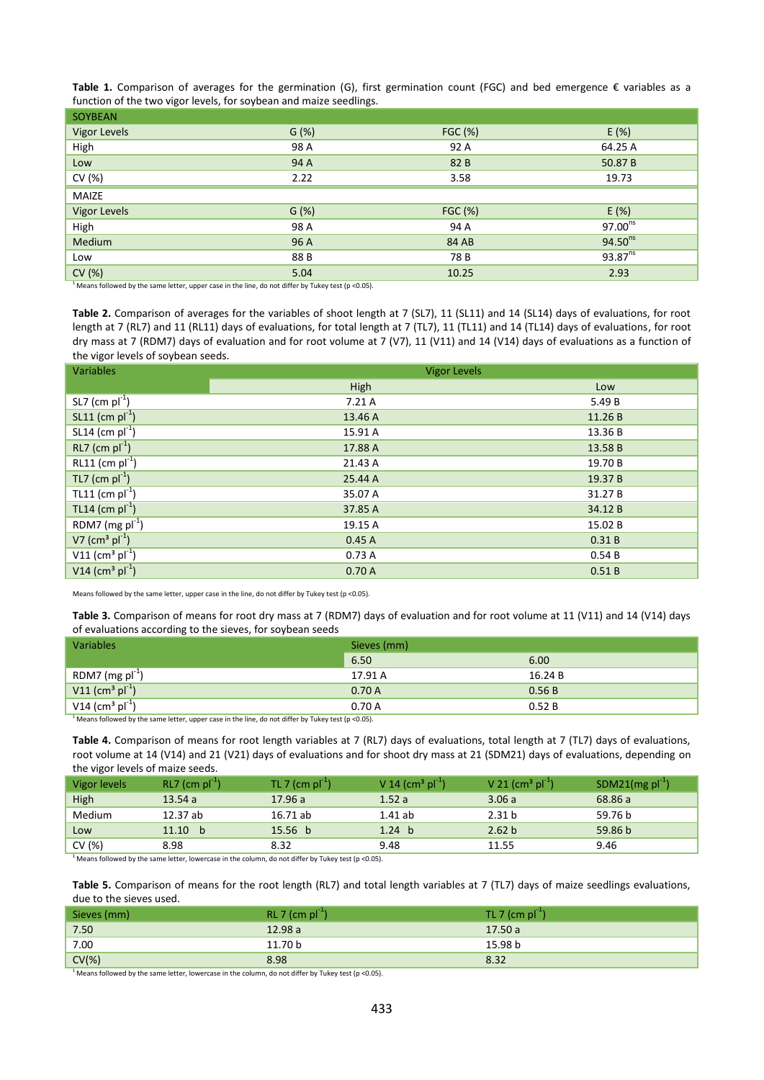**Table 1.** Comparison of averages for the germination (G), first germination count (FGC) and bed emergence € variables as a function of the two vigor levels, for soybean and maize seedlings.

| <b>SOYBEAN</b>      |         |                |                     |
|---------------------|---------|----------------|---------------------|
| <b>Vigor Levels</b> | $G(\%)$ | <b>FGC (%)</b> | E(%)                |
| High                | 98 A    | 92 A           | 64.25 A             |
| Low                 | 94 A    | 82 B           | 50.87 B             |
| CV (%)              | 2.22    | 3.58           | 19.73               |
| MAIZE               |         |                |                     |
| <b>Vigor Levels</b> | G(%)    | <b>FGC (%)</b> | E(%)                |
| High                | 98 A    | 94 A           | $97.00^{ns}$        |
| Medium              | 96 A    | 84 AB          | $94.50^{ns}$        |
| Low                 | 88 B    | 78 B           | 93.87 <sup>ns</sup> |
| CV(%)               | 5.04    | 10.25          | 2.93                |
|                     |         |                |                     |

<sup>1</sup> Means followed by the same letter, upper case in the line, do not differ by Tukey test (p <0.05).

Table 2. Comparison of averages for the variables of shoot length at 7 (SL7), 11 (SL11) and 14 (SL14) days of evaluations, for root length at 7 (RL7) and 11 (RL11) days of evaluations, for total length at 7 (TL7), 11 (TL11) and 14 (TL14) days of evaluations, for root dry mass at 7 (RDM7) days of evaluation and for root volume at 7 (V7), 11 (V11) and 14 (V14) days of evaluations as a function of the vigor levels of soybean seeds.

| <b>Variables</b>                          | <b>Vigor Levels</b> |         |  |  |
|-------------------------------------------|---------------------|---------|--|--|
|                                           | High                | Low     |  |  |
| $SL7$ (cm $pl^{-1}$ )                     | 7.21A               | 5.49 B  |  |  |
| $SL11$ (cm $pl^{-1}$ )                    | 13.46 A             | 11.26 B |  |  |
| SL14 (cm $pi^{-1}$ )                      | 15.91 A             | 13.36 B |  |  |
| $RL7$ (cm $pl^{-1}$ )                     | 17.88 A             | 13.58 B |  |  |
| $RL11$ (cm $pl^{-1}$ )                    | 21.43 A             | 19.70 B |  |  |
| TL7 (cm $pl^{-1}$ )                       | 25.44 A             | 19.37 B |  |  |
| TL11 (cm $\text{pl}^{-1}$ )               | 35.07 A             | 31.27 B |  |  |
| TL14 (cm $pi^{-1}$ )                      | 37.85 A             | 34.12 B |  |  |
| RDM7 (mg $pi^{-1}$ )                      | 19.15 A             | 15.02 B |  |  |
| $V7$ (cm <sup>3</sup> pl <sup>-1</sup> )  | 0.45A               | 0.31B   |  |  |
| $V11$ (cm <sup>3</sup> pl <sup>-1</sup> ) | 0.73A               | 0.54B   |  |  |
| V14 (cm <sup>3</sup> $\text{pl}^{-1}$ )   | 0.70A               | 0.51B   |  |  |

Means followed by the same letter, upper case in the line, do not differ by Tukey test (p <0.05).

Table 3. Comparison of means for root dry mass at 7 (RDM7) days of evaluation and for root volume at 11 (V11) and 14 (V14) days of evaluations according to the sieves, for soybean seeds

| Variables                                                  | Sieves (mm) |         |  |
|------------------------------------------------------------|-------------|---------|--|
|                                                            | 6.50        | 6.00    |  |
| RDM7 (mg $pi^{-1}$ )                                       | 17.91 A     | 16.24 B |  |
| V11 (cm <sup>3</sup> $pl^{-1}$ )                           | 0.70A       | 0.56B   |  |
| V14 (cm <sup>3</sup> $pl^{-1}$ )                           | 0.70 A      | 0.52B   |  |
| <u>les en un un un ville de la presentación de la comp</u> |             |         |  |

Means followed by the same letter, upper case in the line, do not differ by Tukey test (p <0.05).

**Table 4.** Comparison of means for root length variables at 7 (RL7) days of evaluations, total length at 7 (TL7) days of evaluations, root volume at 14 (V14) and 21 (V21) days of evaluations and for shoot dry mass at 21 (SDM21) days of evaluations, depending on the vigor levels of maize seeds.

| Vigor levels | $RL7$ (cm $pl^{-1}$ ) | TL 7 (cm $pi^{-1}$ ) | V 14 (cm <sup>3</sup> pl <sup>-1</sup> ) | V 21 (cm <sup>3</sup> pl <sup>-1</sup> ) | SDM21(mg $pi^{-1}$ ) |
|--------------|-----------------------|----------------------|------------------------------------------|------------------------------------------|----------------------|
| High         | 13.54a                | 17.96a               | 1.52a                                    | 3.06a                                    | 68.86 a              |
| Medium       | 12.37 ab              | 16.71 ab             | 1.41 ab                                  | 2.31 <sub>b</sub>                        | 59.76 b              |
| Low          | 11.10 b               | 15.56 b              | 1.24 <sub>b</sub>                        | 2.62 b                                   | 59.86 <sub>b</sub>   |
| CV $(%)$     | 8.98                  | 8.32                 | 9.48                                     | 11.55                                    | 9.46                 |

<sup>1</sup> Means followed by the same letter, lowercase in the column, do not differ by Tukey test (p <0.05).

Table 5. Comparison of means for the root length (RL7) and total length variables at 7 (TL7) days of maize seedlings evaluations, due to the sieves used.

| Sieves (mm) | $RL 7$ (cm $pl^{-1}$ ) | TL 7 (cm $pl^{-1}$ ) |
|-------------|------------------------|----------------------|
| 7.50        | 12.98a                 | 17.50a               |
| 7.00        | 11.70 b                | 15.98 b              |
| $CV(\%)$    | 8.98                   | 8.32                 |

<sup>1</sup> Means followed by the same letter, lowercase in the column, do not differ by Tukey test (p <0.05).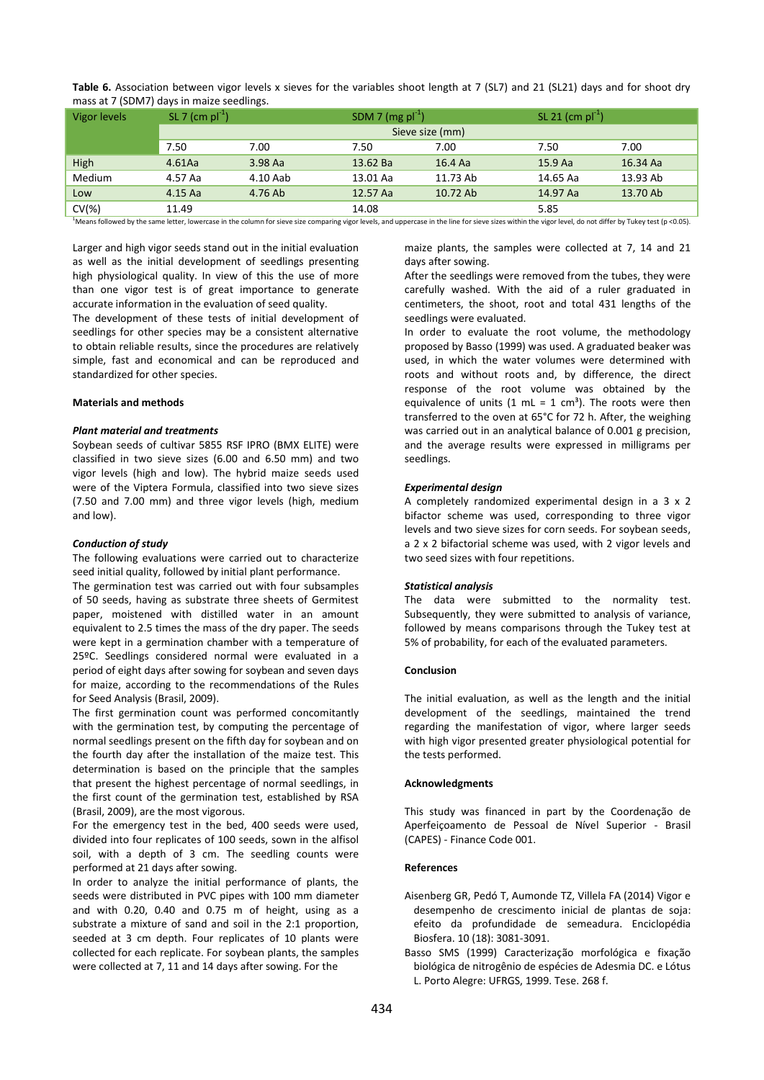| $111033$ at 7, 190 $1117$ , au for the maller occurrings. |                             |           |                       |          |                       |          |
|-----------------------------------------------------------|-----------------------------|-----------|-----------------------|----------|-----------------------|----------|
| Vigor levels                                              | SL 7 (cm $\text{pl}^{-1}$ ) |           | SDM 7 (mg $pi^{-1}$ ) |          | SL 21 (cm $pi^{-1}$ ) |          |
|                                                           | Sieve size (mm)             |           |                       |          |                       |          |
|                                                           | 7.50                        | 7.00      | 7.50                  | 7.00     | 7.50                  | 7.00     |
| High                                                      | $4.61$ Aa                   | $3.98$ Aa | 13.62 Ba              | 16.4 Aa  | 15.9 Aa               | 16.34 Aa |
| Medium                                                    | 4.57 Aa                     | 4.10 Aab  | 13.01 Aa              | 11.73 Ab | 14.65 Aa              | 13.93 Ab |
| Low                                                       | 4.15 Aa                     | 4.76 Ab   | 12.57 Aa              | 10.72 Ab | 14.97 Aa              | 13.70 Ab |
| $CV(\%)$                                                  | 11.49                       |           | 14.08                 |          | 5.85                  |          |

**Table 6.** Association between vigor levels x sieves for the variables shoot length at 7 (SL7) and 21 (SL21) days and for shoot dry mass at 7 (SDM7) days in maize seedlings.

<sup>1</sup>Means followed by the same letter, lowercase in the column for sieve size comparing vigor levels, and uppercase in the line for sieve sizes within the vigor level, do not differ by Tukey test (p <0.05).

Larger and high vigor seeds stand out in the initial evaluation as well as the initial development of seedlings presenting high physiological quality. In view of this the use of more than one vigor test is of great importance to generate accurate information in the evaluation of seed quality.

The development of these tests of initial development of seedlings for other species may be a consistent alternative to obtain reliable results, since the procedures are relatively simple, fast and economical and can be reproduced and standardized for other species.

# **Materials and methods**

## *Plant material and treatments*

Soybean seeds of cultivar 5855 RSF IPRO (BMX ELITE) were classified in two sieve sizes (6.00 and 6.50 mm) and two vigor levels (high and low). The hybrid maize seeds used were of the Viptera Formula, classified into two sieve sizes (7.50 and 7.00 mm) and three vigor levels (high, medium and low).

#### *Conduction of study*

The following evaluations were carried out to characterize seed initial quality, followed by initial plant performance.

The germination test was carried out with four subsamples of 50 seeds, having as substrate three sheets of Germitest paper, moistened with distilled water in an amount equivalent to 2.5 times the mass of the dry paper. The seeds were kept in a germination chamber with a temperature of 25ºC. Seedlings considered normal were evaluated in a period of eight days after sowing for soybean and seven days for maize, according to the recommendations of the Rules for Seed Analysis (Brasil, 2009).

The first germination count was performed concomitantly with the germination test, by computing the percentage of normal seedlings present on the fifth day for soybean and on the fourth day after the installation of the maize test. This determination is based on the principle that the samples that present the highest percentage of normal seedlings, in the first count of the germination test, established by RSA (Brasil, 2009), are the most vigorous.

For the emergency test in the bed, 400 seeds were used, divided into four replicates of 100 seeds, sown in the alfisol soil, with a depth of 3 cm. The seedling counts were performed at 21 days after sowing.

In order to analyze the initial performance of plants, the seeds were distributed in PVC pipes with 100 mm diameter and with 0.20, 0.40 and 0.75 m of height, using as a substrate a mixture of sand and soil in the 2:1 proportion, seeded at 3 cm depth. Four replicates of 10 plants were collected for each replicate. For soybean plants, the samples were collected at 7, 11 and 14 days after sowing. For the

maize plants, the samples were collected at 7, 14 and 21 days after sowing.

After the seedlings were removed from the tubes, they were carefully washed. With the aid of a ruler graduated in centimeters, the shoot, root and total 431 lengths of the seedlings were evaluated.

In order to evaluate the root volume, the methodology proposed by Basso (1999) was used. A graduated beaker was used, in which the water volumes were determined with roots and without roots and, by difference, the direct response of the root volume was obtained by the equivalence of units  $(1 \text{ mL} = 1 \text{ cm}^3)$ . The roots were then transferred to the oven at 65°C for 72 h. After, the weighing was carried out in an analytical balance of 0.001 g precision, and the average results were expressed in milligrams per seedlings.

#### *Experimental design*

A completely randomized experimental design in a 3 x 2 bifactor scheme was used, corresponding to three vigor levels and two sieve sizes for corn seeds. For soybean seeds, a 2 x 2 bifactorial scheme was used, with 2 vigor levels and two seed sizes with four repetitions.

#### *Statistical analysis*

The data were submitted to the normality test. Subsequently, they were submitted to analysis of variance, followed by means comparisons through the Tukey test at 5% of probability, for each of the evaluated parameters.

# **Conclusion**

The initial evaluation, as well as the length and the initial development of the seedlings, maintained the trend regarding the manifestation of vigor, where larger seeds with high vigor presented greater physiological potential for the tests performed.

#### **Acknowledgments**

This study was financed in part by the Coordenação de Aperfeiçoamento de Pessoal de Nível Superior - Brasil (CAPES) - Finance Code 001.

#### **References**

- Aisenberg GR, Pedó T, Aumonde TZ, Villela FA (2014) Vigor e desempenho de crescimento inicial de plantas de soja: efeito da profundidade de semeadura. Enciclopédia Biosfera. 10 (18): 3081-3091.
- Basso SMS (1999) Caracterização morfológica e fixação biológica de nitrogênio de espécies de Adesmia DC. e Lótus L. Porto Alegre: UFRGS, 1999. Tese. 268 f.